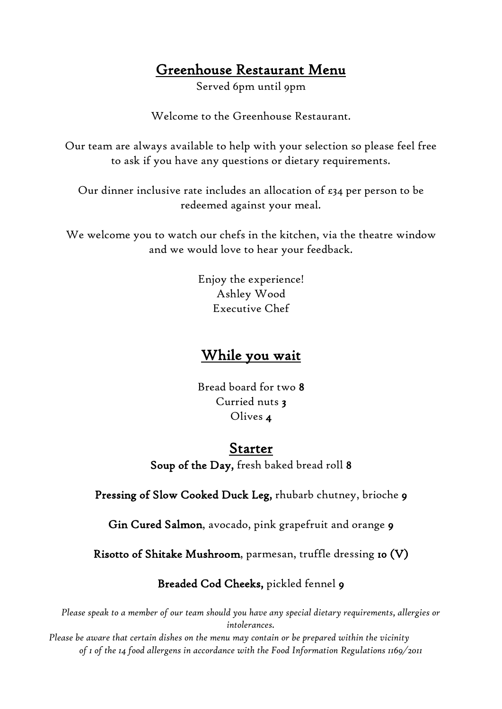## Greenhouse Restaurant Menu

Served 6pm until 9pm

Welcome to the Greenhouse Restaurant.

Our team are always available to help with your selection so please feel free to ask if you have any questions or dietary requirements.

Our dinner inclusive rate includes an allocation of £34 per person to be redeemed against your meal.

We welcome you to watch our chefs in the kitchen, via the theatre window and we would love to hear your feedback.

> Enjoy the experience! Ashley Wood Executive Chef

### While you wait

Bread board for two 8 Curried nuts 3 Olives 4

### Starter

Soup of the Day, fresh baked bread roll 8

Pressing of Slow Cooked Duck Leg, rhubarb chutney, brioche 9

Gin Cured Salmon, avocado, pink grapefruit and orange 9

Risotto of Shitake Mushroom, parmesan, truffle dressing 10 (V)

Breaded Cod Cheeks, pickled fennel 9

*Please speak to a member of our team should you have any special dietary requirements, allergies or intolerances.*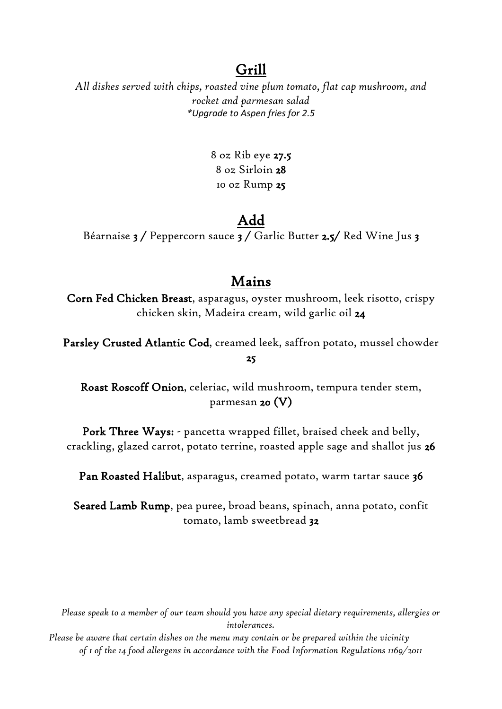## Grill

*All dishes served with chips, roasted vine plum tomato, flat cap mushroom, and rocket and parmesan salad \*Upgrade to Aspen fries for 2.5*

> 8 oz Rib eye 27.5 8 oz Sirloin 28 10 oz Rump 25

## Add

Béarnaise 3 / Peppercorn sauce 3 / Garlic Butter 2.5/ Red Wine Jus 3

## Mains

Corn Fed Chicken Breast, asparagus, oyster mushroom, leek risotto, crispy chicken skin, Madeira cream, wild garlic oil 24

Parsley Crusted Atlantic Cod, creamed leek, saffron potato, mussel chowder 25

Roast Roscoff Onion, celeriac, wild mushroom, tempura tender stem, parmesan 20 (V)

Pork Three Ways: - pancetta wrapped fillet, braised cheek and belly, crackling, glazed carrot, potato terrine, roasted apple sage and shallot jus 26

Pan Roasted Halibut, asparagus, creamed potato, warm tartar sauce 36

Seared Lamb Rump, pea puree, broad beans, spinach, anna potato, confit tomato, lamb sweetbread 32

*Please speak to a member of our team should you have any special dietary requirements, allergies or intolerances.*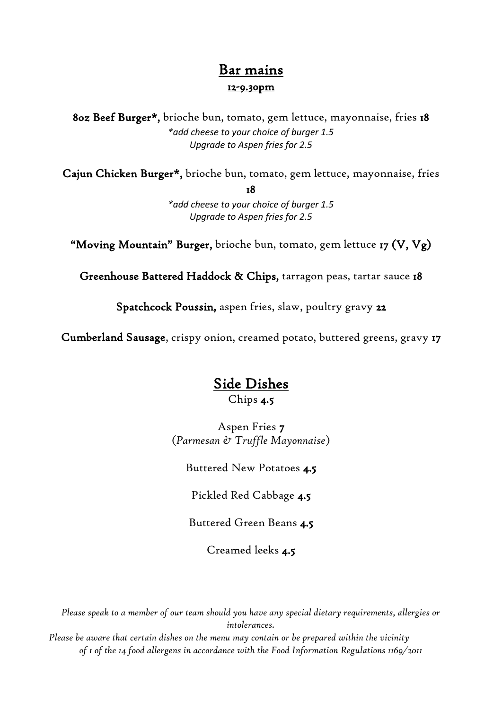### Bar mains 12-9.30pm

8oz Beef Burger\*, brioche bun, tomato, gem lettuce, mayonnaise, fries 18 *\*add cheese to your choice of burger 1.5 Upgrade to Aspen fries for 2.5*

Cajun Chicken Burger\*, brioche bun, tomato, gem lettuce, mayonnaise, fries

18

*\*add cheese to your choice of burger 1.5 Upgrade to Aspen fries for 2.5*

"Moving Mountain" Burger, brioche bun, tomato, gem lettuce 17  $(V, Vg)$ 

Greenhouse Battered Haddock & Chips, tarragon peas, tartar sauce 18

Spatchcock Poussin, aspen fries, slaw, poultry gravy 22

Cumberland Sausage, crispy onion, creamed potato, buttered greens, gravy 17

# Side Dishes

Chips 4.5

Aspen Fries 7 (*Parmesan & Truffle Mayonnaise*)

Buttered New Potatoes 4.5

Pickled Red Cabbage 4.5

Buttered Green Beans 4.5

Creamed leeks 4.5

*Please speak to a member of our team should you have any special dietary requirements, allergies or intolerances.*